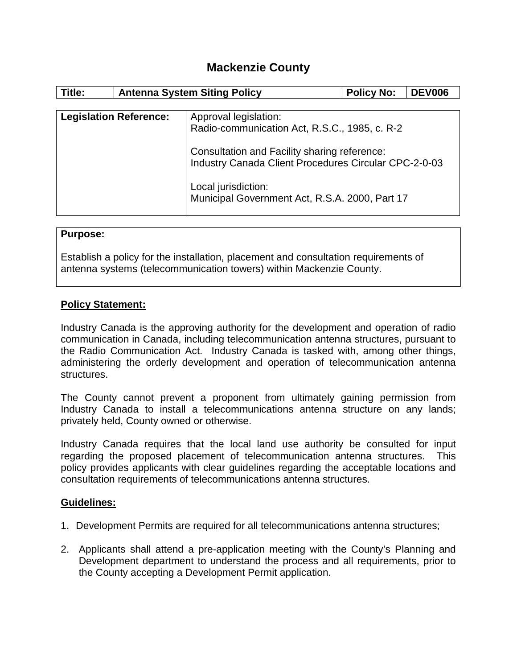# **Mackenzie County**

| Title:                        | <b>Antenna System Siting Policy</b> |                                                                                                       | <b>Policy No:</b> | <b>DEV006</b> |  |
|-------------------------------|-------------------------------------|-------------------------------------------------------------------------------------------------------|-------------------|---------------|--|
|                               |                                     |                                                                                                       |                   |               |  |
| <b>Legislation Reference:</b> |                                     | Approval legislation:                                                                                 |                   |               |  |
|                               |                                     | Radio-communication Act, R.S.C., 1985, c. R-2                                                         |                   |               |  |
|                               |                                     | Consultation and Facility sharing reference:<br>Industry Canada Client Procedures Circular CPC-2-0-03 |                   |               |  |
|                               |                                     | Local jurisdiction:<br>Municipal Government Act, R.S.A. 2000, Part 17                                 |                   |               |  |

#### **Purpose:**

Establish a policy for the installation, placement and consultation requirements of antenna systems (telecommunication towers) within Mackenzie County.

### **Policy Statement:**

Industry Canada is the approving authority for the development and operation of radio communication in Canada, including telecommunication antenna structures, pursuant to the Radio Communication Act. Industry Canada is tasked with, among other things, administering the orderly development and operation of telecommunication antenna structures.

The County cannot prevent a proponent from ultimately gaining permission from Industry Canada to install a telecommunications antenna structure on any lands; privately held, County owned or otherwise.

Industry Canada requires that the local land use authority be consulted for input regarding the proposed placement of telecommunication antenna structures. This policy provides applicants with clear guidelines regarding the acceptable locations and consultation requirements of telecommunications antenna structures.

#### **Guidelines:**

- 1. Development Permits are required for all telecommunications antenna structures;
- 2. Applicants shall attend a pre-application meeting with the County's Planning and Development department to understand the process and all requirements, prior to the County accepting a Development Permit application.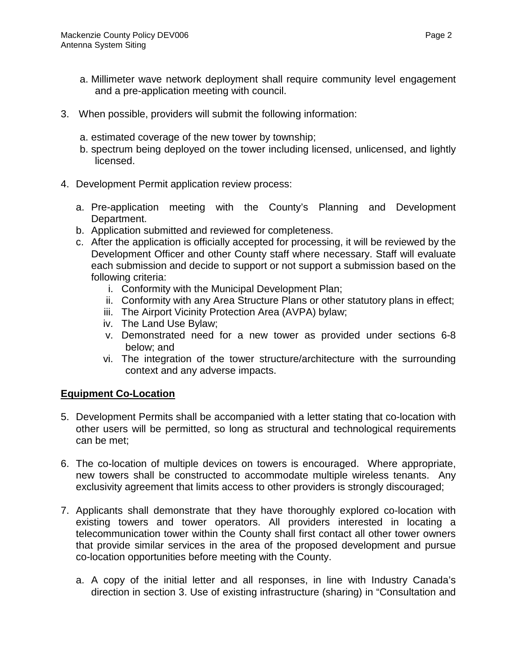- a. Millimeter wave network deployment shall require community level engagement and a pre-application meeting with council.
- 3. When possible, providers will submit the following information:
	- a. estimated coverage of the new tower by township;
	- b. spectrum being deployed on the tower including licensed, unlicensed, and lightly licensed.
- 4. Development Permit application review process:
	- a. Pre-application meeting with the County's Planning and Development Department.
	- b. Application submitted and reviewed for completeness.
	- c. After the application is officially accepted for processing, it will be reviewed by the Development Officer and other County staff where necessary. Staff will evaluate each submission and decide to support or not support a submission based on the following criteria:
		- i. Conformity with the Municipal Development Plan;
		- ii. Conformity with any Area Structure Plans or other statutory plans in effect;
		- iii. The Airport Vicinity Protection Area (AVPA) bylaw;
		- iv. The Land Use Bylaw;
		- v. Demonstrated need for a new tower as provided under sections 6-8 below; and
		- vi. The integration of the tower structure/architecture with the surrounding context and any adverse impacts.

## **Equipment Co-Location**

- 5. Development Permits shall be accompanied with a letter stating that co-location with other users will be permitted, so long as structural and technological requirements can be met;
- 6. The co-location of multiple devices on towers is encouraged. Where appropriate, new towers shall be constructed to accommodate multiple wireless tenants. Any exclusivity agreement that limits access to other providers is strongly discouraged;
- 7. Applicants shall demonstrate that they have thoroughly explored co-location with existing towers and tower operators. All providers interested in locating a telecommunication tower within the County shall first contact all other tower owners that provide similar services in the area of the proposed development and pursue co-location opportunities before meeting with the County.
	- a. A copy of the initial letter and all responses, in line with Industry Canada's direction in section 3. Use of existing infrastructure (sharing) in "Consultation and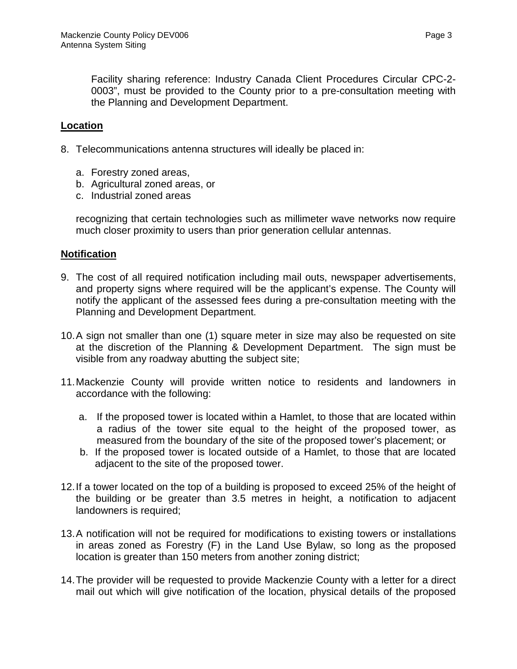Facility sharing reference: Industry Canada Client Procedures Circular CPC-2- 0003", must be provided to the County prior to a pre-consultation meeting with the Planning and Development Department.

### **Location**

- 8. Telecommunications antenna structures will ideally be placed in:
	- a. Forestry zoned areas,
	- b. Agricultural zoned areas, or
	- c. Industrial zoned areas

recognizing that certain technologies such as millimeter wave networks now require much closer proximity to users than prior generation cellular antennas.

#### **Notification**

- 9. The cost of all required notification including mail outs, newspaper advertisements, and property signs where required will be the applicant's expense. The County will notify the applicant of the assessed fees during a pre-consultation meeting with the Planning and Development Department.
- 10.A sign not smaller than one (1) square meter in size may also be requested on site at the discretion of the Planning & Development Department. The sign must be visible from any roadway abutting the subject site;
- 11.Mackenzie County will provide written notice to residents and landowners in accordance with the following:
	- a. If the proposed tower is located within a Hamlet, to those that are located within a radius of the tower site equal to the height of the proposed tower, as measured from the boundary of the site of the proposed tower's placement; or
	- b. If the proposed tower is located outside of a Hamlet, to those that are located adiacent to the site of the proposed tower.
- 12.If a tower located on the top of a building is proposed to exceed 25% of the height of the building or be greater than 3.5 metres in height, a notification to adjacent landowners is required;
- 13.A notification will not be required for modifications to existing towers or installations in areas zoned as Forestry (F) in the Land Use Bylaw, so long as the proposed location is greater than 150 meters from another zoning district;
- 14.The provider will be requested to provide Mackenzie County with a letter for a direct mail out which will give notification of the location, physical details of the proposed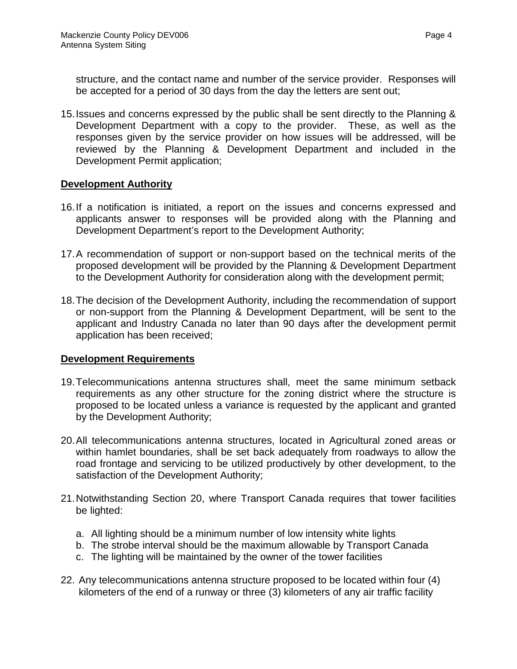structure, and the contact name and number of the service provider. Responses will be accepted for a period of 30 days from the day the letters are sent out;

15.Issues and concerns expressed by the public shall be sent directly to the Planning & Development Department with a copy to the provider. These, as well as the responses given by the service provider on how issues will be addressed, will be reviewed by the Planning & Development Department and included in the Development Permit application;

### **Development Authority**

- 16.If a notification is initiated, a report on the issues and concerns expressed and applicants answer to responses will be provided along with the Planning and Development Department's report to the Development Authority;
- 17.A recommendation of support or non-support based on the technical merits of the proposed development will be provided by the Planning & Development Department to the Development Authority for consideration along with the development permit;
- 18.The decision of the Development Authority, including the recommendation of support or non-support from the Planning & Development Department, will be sent to the applicant and Industry Canada no later than 90 days after the development permit application has been received;

### **Development Requirements**

- 19.Telecommunications antenna structures shall, meet the same minimum setback requirements as any other structure for the zoning district where the structure is proposed to be located unless a variance is requested by the applicant and granted by the Development Authority;
- 20.All telecommunications antenna structures, located in Agricultural zoned areas or within hamlet boundaries, shall be set back adequately from roadways to allow the road frontage and servicing to be utilized productively by other development, to the satisfaction of the Development Authority;
- 21.Notwithstanding Section 20, where Transport Canada requires that tower facilities be lighted:
	- a. All lighting should be a minimum number of low intensity white lights
	- b. The strobe interval should be the maximum allowable by Transport Canada
	- c. The lighting will be maintained by the owner of the tower facilities
- 22. Any telecommunications antenna structure proposed to be located within four (4) kilometers of the end of a runway or three (3) kilometers of any air traffic facility